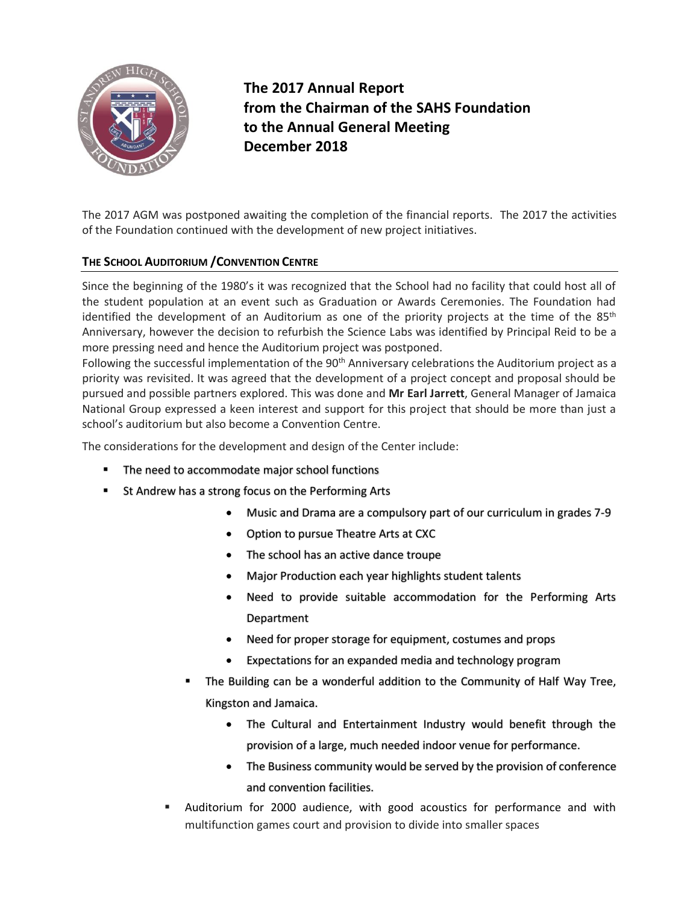

**The 2017 Annual Report from the Chairman of the SAHS Foundation to the Annual General Meeting December 2018**

The 2017 AGM was postponed awaiting the completion of the financial reports. The 2017 the activities of the Foundation continued with the development of new project initiatives.

# **THE SCHOOL AUDITORIUM /CONVENTION CENTRE**

Since the beginning of the 1980's it was recognized that the School had no facility that could host all of the student population at an event such as Graduation or Awards Ceremonies. The Foundation had identified the development of an Auditorium as one of the priority projects at the time of the 85<sup>th</sup> Anniversary, however the decision to refurbish the Science Labs was identified by Principal Reid to be a more pressing need and hence the Auditorium project was postponed.

Following the successful implementation of the 90<sup>th</sup> Anniversary celebrations the Auditorium project as a priority was revisited. It was agreed that the development of a project concept and proposal should be pursued and possible partners explored. This was done and **Mr Earl Jarrett**, General Manager of Jamaica National Group expressed a keen interest and support for this project that should be more than just a school's auditorium but also become a Convention Centre.

The considerations for the development and design of the Center include:

- The need to accommodate major school functions
- St Andrew has a strong focus on the Performing Arts
	- Music and Drama are a compulsory part of our curriculum in grades 7-9
	- Option to pursue Theatre Arts at CXC
	- The school has an active dance troupe
	- Major Production each year highlights student talents
	- Need to provide suitable accommodation for the Performing Arts Department
	- Need for proper storage for equipment, costumes and props
	- Expectations for an expanded media and technology program
	- The Building can be a wonderful addition to the Community of Half Way Tree, Kingston and Jamaica.
		- The Cultural and Entertainment Industry would benefit through the provision of a large, much needed indoor venue for performance.
		- The Business community would be served by the provision of conference and convention facilities.
	- Auditorium for 2000 audience, with good acoustics for performance and with multifunction games court and provision to divide into smaller spaces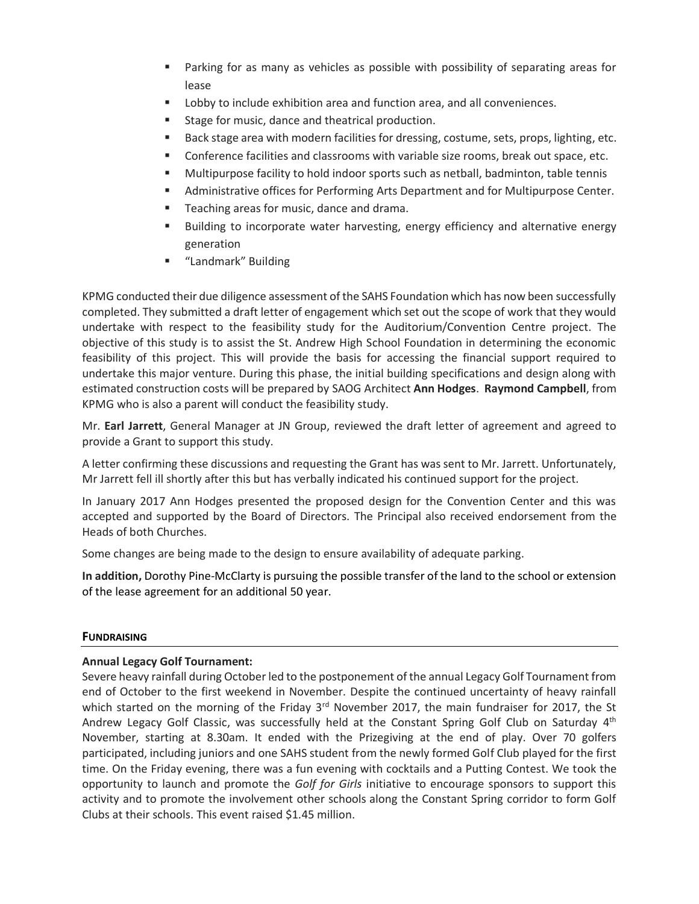- Parking for as many as vehicles as possible with possibility of separating areas for lease
- Lobby to include exhibition area and function area, and all conveniences.
- Stage for music, dance and theatrical production.
- Back stage area with modern facilities for dressing, costume, sets, props, lighting, etc.
- **Conference facilities and classrooms with variable size rooms, break out space, etc.**
- Multipurpose facility to hold indoor sports such as netball, badminton, table tennis
- **EXEDENT Administrative offices for Performing Arts Department and for Multipurpose Center.**
- Teaching areas for music, dance and drama.
- **EXED** Building to incorporate water harvesting, energy efficiency and alternative energy generation
- "Landmark" Building

KPMG conducted their due diligence assessment of the SAHS Foundation which has now been successfully completed. They submitted a draft letter of engagement which set out the scope of work that they would undertake with respect to the feasibility study for the Auditorium/Convention Centre project. The objective of this study is to assist the St. Andrew High School Foundation in determining the economic feasibility of this project. This will provide the basis for accessing the financial support required to undertake this major venture. During this phase, the initial building specifications and design along with estimated construction costs will be prepared by SAOG Architect **Ann Hodges**. **Raymond Campbell**, from KPMG who is also a parent will conduct the feasibility study.

Mr. **Earl Jarrett**, General Manager at JN Group, reviewed the draft letter of agreement and agreed to provide a Grant to support this study.

A letter confirming these discussions and requesting the Grant has was sent to Mr. Jarrett. Unfortunately, Mr Jarrett fell ill shortly after this but has verbally indicated his continued support for the project.

In January 2017 Ann Hodges presented the proposed design for the Convention Center and this was accepted and supported by the Board of Directors. The Principal also received endorsement from the Heads of both Churches.

Some changes are being made to the design to ensure availability of adequate parking.

**In addition,** Dorothy Pine-McClarty is pursuing the possible transfer of the land to the school or extension of the lease agreement for an additional 50 year.

## **FUNDRAISING**

## **Annual Legacy Golf Tournament:**

Severe heavy rainfall during October led to the postponement of the annual Legacy Golf Tournament from end of October to the first weekend in November. Despite the continued uncertainty of heavy rainfall which started on the morning of the Friday 3<sup>rd</sup> November 2017, the main fundraiser for 2017, the St Andrew Legacy Golf Classic, was successfully held at the Constant Spring Golf Club on Saturday 4<sup>th</sup> November, starting at 8.30am. It ended with the Prizegiving at the end of play. Over 70 golfers participated, including juniors and one SAHS student from the newly formed Golf Club played for the first time. On the Friday evening, there was a fun evening with cocktails and a Putting Contest. We took the opportunity to launch and promote the *Golf for Girls* initiative to encourage sponsors to support this activity and to promote the involvement other schools along the Constant Spring corridor to form Golf Clubs at their schools. This event raised \$1.45 million.